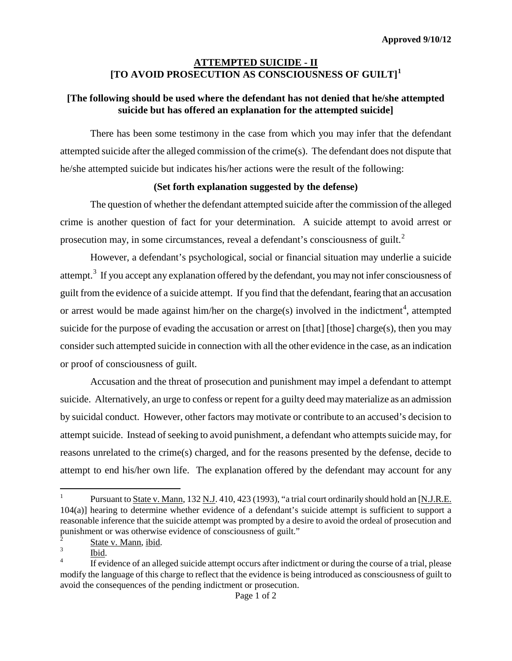## **ATTEMPTED SUICIDE - II [TO AVOID PROSECUTION AS CONSCIOUSNESS OF GUILT] [1](#page-0-0)**

## **[The following should be used where the defendant has not denied that he/she attempted suicide but has offered an explanation for the attempted suicide]**

There has been some testimony in the case from which you may infer that the defendant attempted suicide after the alleged commission of the crime(s). The defendant does not dispute that he/she attempted suicide but indicates his/her actions were the result of the following:

## **(Set forth explanation suggested by the defense)**

The question of whether the defendant attempted suicide after the commission of the alleged crime is another question of fact for your determination. A suicide attempt to avoid arrest or prosecution may, in some circumstances, reveal a defendant's consciousness of guilt. $<sup>2</sup>$  $<sup>2</sup>$  $<sup>2</sup>$ </sup>

However, a defendant's psychological, social or financial situation may underlie a suicide attempt.<sup>[3](#page-0-2)</sup> If you accept any explanation offered by the defendant, you may not infer consciousness of guilt from the evidence of a suicide attempt. If you find that the defendant, fearing that an accusation or arrest would be made against him/her on the charge(s) involved in the indictment<sup>[4](#page-0-3)</sup>, attempted suicide for the purpose of evading the accusation or arrest on [that] [those] charge(s), then you may consider such attempted suicide in connection with all the other evidence in the case, as an indication or proof of consciousness of guilt.

Accusation and the threat of prosecution and punishment may impel a defendant to attempt suicide. Alternatively, an urge to confess or repent for a guilty deed may materialize as an admission by suicidal conduct. However, other factors may motivate or contribute to an accused's decision to attempt suicide. Instead of seeking to avoid punishment, a defendant who attempts suicide may, for reasons unrelated to the crime(s) charged, and for the reasons presented by the defense, decide to attempt to end his/her own life. The explanation offered by the defendant may account for any

<span id="page-0-0"></span> $\,1$ <sup>1</sup> Pursuant to State v. Mann, 132 N.J. 410, 423 (1993), "a trial court ordinarily should hold an [N.J.R.E. 104(a)] hearing to determine whether evidence of a defendant's suicide attempt is sufficient to support a reasonable inference that the suicide attempt was prompted by a desire to avoid the ordeal of prosecution and punishment or was otherwise evidence of consciousness of guilt."

<span id="page-0-3"></span>

<span id="page-0-4"></span><span id="page-0-2"></span><span id="page-0-1"></span> $\frac{3}{3}$  State v. Mann, ibid.<br><sup>4</sup> If evidence of an alleged suicide attempt occurs after indictment or during the course of a trial, please modify the language of this charge to reflect that the evidence is being introduced as consciousness of guilt to avoid the consequences of the pending indictment or prosecution.